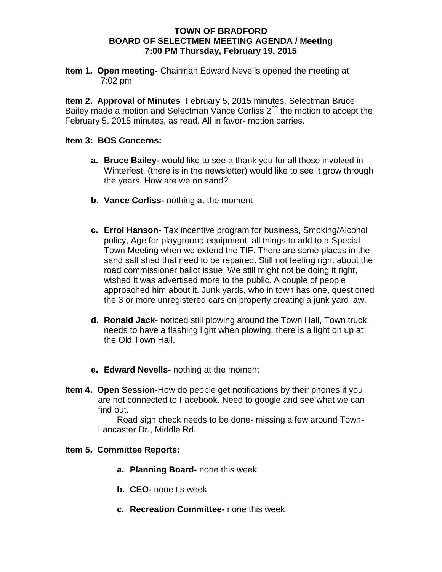#### **TOWN OF BRADFORD BOARD OF SELECTMEN MEETING AGENDA / Meeting 7:00 PM Thursday, February 19, 2015**

**Item 1. Open meeting-** Chairman Edward Nevells opened the meeting at 7:02 pm

**Item 2. Approval of Minutes** February 5, 2015 minutes, Selectman Bruce Bailey made a motion and Selectman Vance Corliss  $2^{nd}$  the motion to accept the February 5, 2015 minutes, as read. All in favor- motion carries.

## **Item 3: BOS Concerns:**

- **a. Bruce Bailey-** would like to see a thank you for all those involved in Winterfest. (there is in the newsletter) would like to see it grow through the years. How are we on sand?
- **b. Vance Corliss-** nothing at the moment
- **c. Errol Hanson-** Tax incentive program for business, Smoking/Alcohol policy, Age for playground equipment, all things to add to a Special Town Meeting when we extend the TIF. There are some places in the sand salt shed that need to be repaired. Still not feeling right about the road commissioner ballot issue. We still might not be doing it right, wished it was advertised more to the public. A couple of people approached him about it. Junk yards, who in town has one, questioned the 3 or more unregistered cars on property creating a junk yard law.
- **d. Ronald Jack-** noticed still plowing around the Town Hall, Town truck needs to have a flashing light when plowing, there is a light on up at the Old Town Hall.
- **e. Edward Nevells-** nothing at the moment
- **Item 4. Open Session-**How do people get notifications by their phones if you are not connected to Facebook. Need to google and see what we can find out.

Road sign check needs to be done- missing a few around Town-Lancaster Dr., Middle Rd.

#### **Item 5. Committee Reports:**

- **a. Planning Board-** none this week
- **b. CEO-** none tis week
- **c. Recreation Committee-** none this week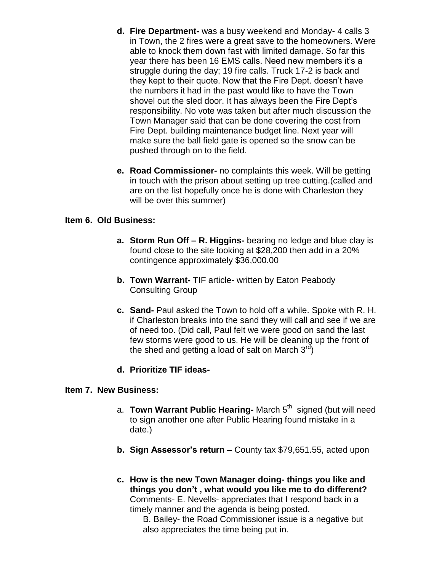- **d. Fire Department-** was a busy weekend and Monday- 4 calls 3 in Town, the 2 fires were a great save to the homeowners. Were able to knock them down fast with limited damage. So far this year there has been 16 EMS calls. Need new members it's a struggle during the day; 19 fire calls. Truck 17-2 is back and they kept to their quote. Now that the Fire Dept. doesn't have the numbers it had in the past would like to have the Town shovel out the sled door. It has always been the Fire Dept's responsibility. No vote was taken but after much discussion the Town Manager said that can be done covering the cost from Fire Dept. building maintenance budget line. Next year will make sure the ball field gate is opened so the snow can be pushed through on to the field.
- **e. Road Commissioner-** no complaints this week. Will be getting in touch with the prison about setting up tree cutting.(called and are on the list hopefully once he is done with Charleston they will be over this summer)

## **Item 6. Old Business:**

- **a. Storm Run Off – R. Higgins-** bearing no ledge and blue clay is found close to the site looking at \$28,200 then add in a 20% contingence approximately \$36,000.00
- **b. Town Warrant-** TIF article- written by Eaton Peabody Consulting Group
- **c. Sand-** Paul asked the Town to hold off a while. Spoke with R. H. if Charleston breaks into the sand they will call and see if we are of need too. (Did call, Paul felt we were good on sand the last few storms were good to us. He will be cleaning up the front of the shed and getting a load of salt on March  $3^{rd}$ )

# **d. Prioritize TIF ideas-**

## **Item 7. New Business:**

- a. **Town Warrant Public Hearing-** March 5<sup>th</sup> signed (but will need to sign another one after Public Hearing found mistake in a date.)
- **b. Sign Assessor's return –** County tax \$79,651.55, acted upon
- **c. How is the new Town Manager doing- things you like and things you don't , what would you like me to do different?** Comments- E. Nevells- appreciates that I respond back in a timely manner and the agenda is being posted.

B. Bailey- the Road Commissioner issue is a negative but also appreciates the time being put in.